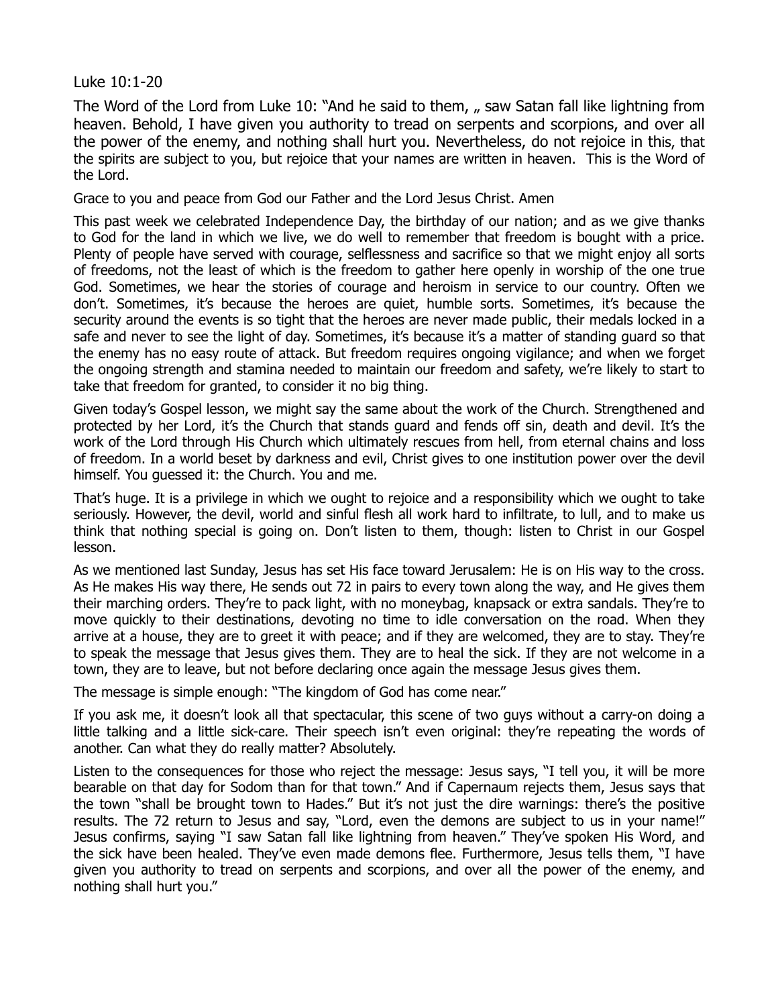## Luke 10:1-20

The Word of the Lord from Luke 10: "And he said to them, , saw Satan fall like lightning from heaven. Behold, I have given you authority to tread on serpents and scorpions, and over all the power of the enemy, and nothing shall hurt you. Nevertheless, do not rejoice in this, that the spirits are subject to you, but rejoice that your names are written in heaven. This is the Word of the Lord.

Grace to you and peace from God our Father and the Lord Jesus Christ. Amen

This past week we celebrated Independence Day, the birthday of our nation; and as we give thanks to God for the land in which we live, we do well to remember that freedom is bought with a price. Plenty of people have served with courage, selflessness and sacrifice so that we might enjoy all sorts of freedoms, not the least of which is the freedom to gather here openly in worship of the one true God. Sometimes, we hear the stories of courage and heroism in service to our country. Often we don't. Sometimes, it's because the heroes are quiet, humble sorts. Sometimes, it's because the security around the events is so tight that the heroes are never made public, their medals locked in a safe and never to see the light of day. Sometimes, it's because it's a matter of standing guard so that the enemy has no easy route of attack. But freedom requires ongoing vigilance; and when we forget the ongoing strength and stamina needed to maintain our freedom and safety, we're likely to start to take that freedom for granted, to consider it no big thing.

Given today's Gospel lesson, we might say the same about the work of the Church. Strengthened and protected by her Lord, it's the Church that stands guard and fends off sin, death and devil. It's the work of the Lord through His Church which ultimately rescues from hell, from eternal chains and loss of freedom. In a world beset by darkness and evil, Christ gives to one institution power over the devil himself. You guessed it: the Church. You and me.

That's huge. It is a privilege in which we ought to rejoice and a responsibility which we ought to take seriously. However, the devil, world and sinful flesh all work hard to infiltrate, to lull, and to make us think that nothing special is going on. Don't listen to them, though: listen to Christ in our Gospel lesson.

As we mentioned last Sunday, Jesus has set His face toward Jerusalem: He is on His way to the cross. As He makes His way there, He sends out 72 in pairs to every town along the way, and He gives them their marching orders. They're to pack light, with no moneybag, knapsack or extra sandals. They're to move quickly to their destinations, devoting no time to idle conversation on the road. When they arrive at a house, they are to greet it with peace; and if they are welcomed, they are to stay. They're to speak the message that Jesus gives them. They are to heal the sick. If they are not welcome in a town, they are to leave, but not before declaring once again the message Jesus gives them.

The message is simple enough: "The kingdom of God has come near."

If you ask me, it doesn't look all that spectacular, this scene of two guys without a carry-on doing a little talking and a little sick-care. Their speech isn't even original: they're repeating the words of another. Can what they do really matter? Absolutely.

Listen to the consequences for those who reject the message: Jesus says, "I tell you, it will be more bearable on that day for Sodom than for that town." And if Capernaum rejects them, Jesus says that the town "shall be brought town to Hades." But it's not just the dire warnings: there's the positive results. The 72 return to Jesus and say, "Lord, even the demons are subject to us in your name!" Jesus confirms, saying "I saw Satan fall like lightning from heaven." They've spoken His Word, and the sick have been healed. They've even made demons flee. Furthermore, Jesus tells them, "I have given you authority to tread on serpents and scorpions, and over all the power of the enemy, and nothing shall hurt you."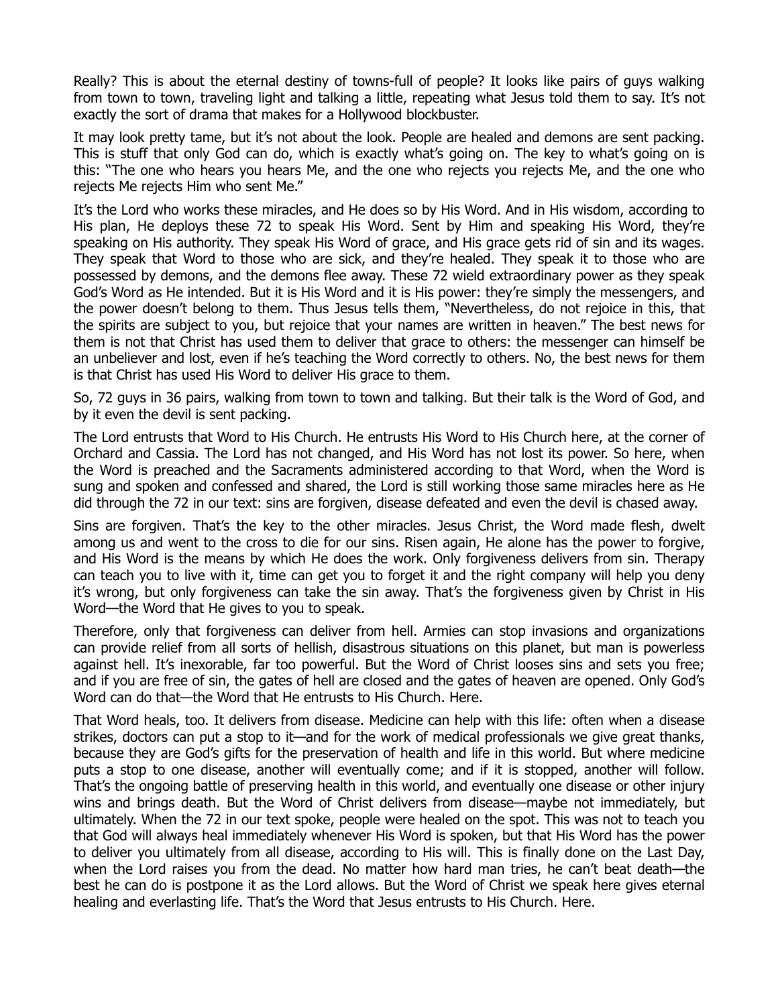Really? This is about the eternal destiny of towns-full of people? It looks like pairs of guys walking from town to town, traveling light and talking a little, repeating what Jesus told them to say. It's not exactly the sort of drama that makes for a Hollywood blockbuster.

It may look pretty tame, but it's not about the look. People are healed and demons are sent packing. This is stuff that only God can do, which is exactly what's going on. The key to what's going on is this: "The one who hears you hears Me, and the one who rejects you rejects Me, and the one who rejects Me rejects Him who sent Me."

It's the Lord who works these miracles, and He does so by His Word. And in His wisdom, according to His plan, He deploys these 72 to speak His Word. Sent by Him and speaking His Word, they're speaking on His authority. They speak His Word of grace, and His grace gets rid of sin and its wages. They speak that Word to those who are sick, and they're healed. They speak it to those who are possessed by demons, and the demons flee away. These 72 wield extraordinary power as they speak God's Word as He intended. But it is His Word and it is His power: they're simply the messengers, and the power doesn't belong to them. Thus Jesus tells them, "Nevertheless, do not rejoice in this, that the spirits are subject to you, but rejoice that your names are written in heaven." The best news for them is not that Christ has used them to deliver that grace to others: the messenger can himself be an unbeliever and lost, even if he's teaching the Word correctly to others. No, the best news for them is that Christ has used His Word to deliver His grace to them.

So, 72 guys in 36 pairs, walking from town to town and talking. But their talk is the Word of God, and by it even the devil is sent packing.

The Lord entrusts that Word to His Church. He entrusts His Word to His Church here, at the corner of Orchard and Cassia. The Lord has not changed, and His Word has not lost its power. So here, when the Word is preached and the Sacraments administered according to that Word, when the Word is sung and spoken and confessed and shared, the Lord is still working those same miracles here as He did through the 72 in our text: sins are forgiven, disease defeated and even the devil is chased away.

Sins are forgiven. That's the key to the other miracles. Jesus Christ, the Word made flesh, dwelt among us and went to the cross to die for our sins. Risen again, He alone has the power to forgive, and His Word is the means by which He does the work. Only forgiveness delivers from sin. Therapy can teach you to live with it, time can get you to forget it and the right company will help you deny it's wrong, but only forgiveness can take the sin away. That's the forgiveness given by Christ in His Word—the Word that He gives to you to speak.

Therefore, only that forgiveness can deliver from hell. Armies can stop invasions and organizations can provide relief from all sorts of hellish, disastrous situations on this planet, but man is powerless against hell. It's inexorable, far too powerful. But the Word of Christ looses sins and sets you free; and if you are free of sin, the gates of hell are closed and the gates of heaven are opened. Only God's Word can do that—the Word that He entrusts to His Church. Here.

That Word heals, too. It delivers from disease. Medicine can help with this life: often when a disease strikes, doctors can put a stop to it—and for the work of medical professionals we give great thanks, because they are God's gifts for the preservation of health and life in this world. But where medicine puts a stop to one disease, another will eventually come; and if it is stopped, another will follow. That's the ongoing battle of preserving health in this world, and eventually one disease or other injury wins and brings death. But the Word of Christ delivers from disease—maybe not immediately, but ultimately. When the 72 in our text spoke, people were healed on the spot. This was not to teach you that God will always heal immediately whenever His Word is spoken, but that His Word has the power to deliver you ultimately from all disease, according to His will. This is finally done on the Last Day, when the Lord raises you from the dead. No matter how hard man tries, he can't beat death—the best he can do is postpone it as the Lord allows. But the Word of Christ we speak here gives eternal healing and everlasting life. That's the Word that Jesus entrusts to His Church. Here.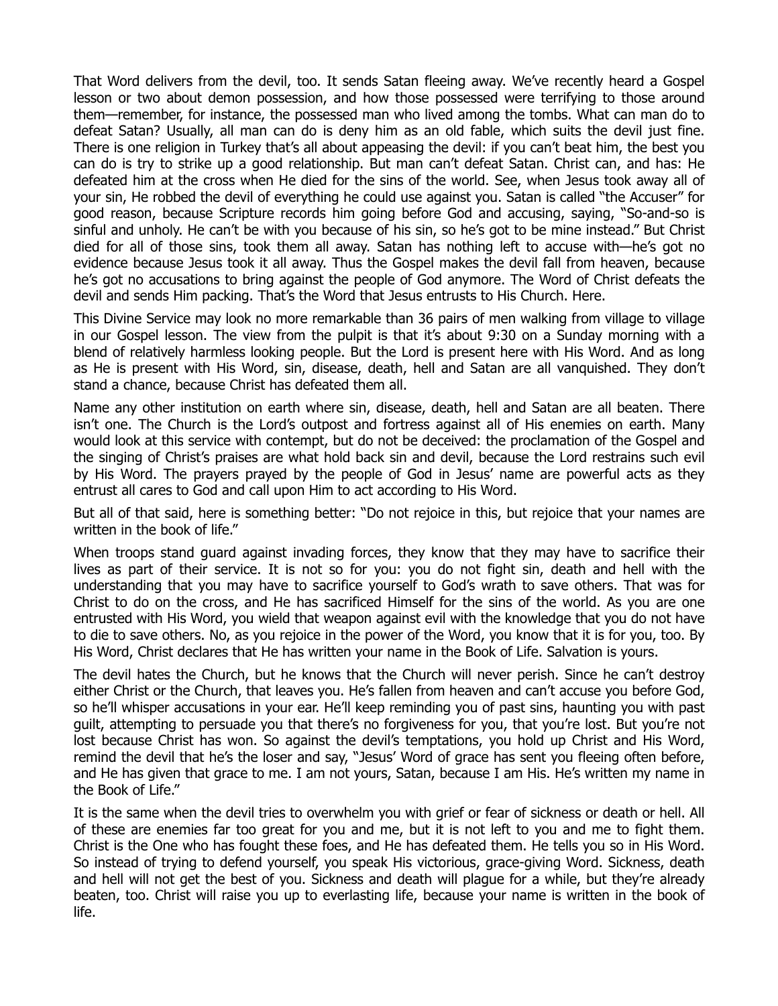That Word delivers from the devil, too. It sends Satan fleeing away. We've recently heard a Gospel lesson or two about demon possession, and how those possessed were terrifying to those around them—remember, for instance, the possessed man who lived among the tombs. What can man do to defeat Satan? Usually, all man can do is deny him as an old fable, which suits the devil just fine. There is one religion in Turkey that's all about appeasing the devil: if you can't beat him, the best you can do is try to strike up a good relationship. But man can't defeat Satan. Christ can, and has: He defeated him at the cross when He died for the sins of the world. See, when Jesus took away all of your sin, He robbed the devil of everything he could use against you. Satan is called "the Accuser" for good reason, because Scripture records him going before God and accusing, saying, "So-and-so is sinful and unholy. He can't be with you because of his sin, so he's got to be mine instead." But Christ died for all of those sins, took them all away. Satan has nothing left to accuse with—he's got no evidence because Jesus took it all away. Thus the Gospel makes the devil fall from heaven, because he's got no accusations to bring against the people of God anymore. The Word of Christ defeats the devil and sends Him packing. That's the Word that Jesus entrusts to His Church. Here.

This Divine Service may look no more remarkable than 36 pairs of men walking from village to village in our Gospel lesson. The view from the pulpit is that it's about 9:30 on a Sunday morning with a blend of relatively harmless looking people. But the Lord is present here with His Word. And as long as He is present with His Word, sin, disease, death, hell and Satan are all vanquished. They don't stand a chance, because Christ has defeated them all.

Name any other institution on earth where sin, disease, death, hell and Satan are all beaten. There isn't one. The Church is the Lord's outpost and fortress against all of His enemies on earth. Many would look at this service with contempt, but do not be deceived: the proclamation of the Gospel and the singing of Christ's praises are what hold back sin and devil, because the Lord restrains such evil by His Word. The prayers prayed by the people of God in Jesus' name are powerful acts as they entrust all cares to God and call upon Him to act according to His Word.

But all of that said, here is something better: "Do not rejoice in this, but rejoice that your names are written in the book of life."

When troops stand guard against invading forces, they know that they may have to sacrifice their lives as part of their service. It is not so for you: you do not fight sin, death and hell with the understanding that you may have to sacrifice yourself to God's wrath to save others. That was for Christ to do on the cross, and He has sacrificed Himself for the sins of the world. As you are one entrusted with His Word, you wield that weapon against evil with the knowledge that you do not have to die to save others. No, as you rejoice in the power of the Word, you know that it is for you, too. By His Word, Christ declares that He has written your name in the Book of Life. Salvation is yours.

The devil hates the Church, but he knows that the Church will never perish. Since he can't destroy either Christ or the Church, that leaves you. He's fallen from heaven and can't accuse you before God, so he'll whisper accusations in your ear. He'll keep reminding you of past sins, haunting you with past guilt, attempting to persuade you that there's no forgiveness for you, that you're lost. But you're not lost because Christ has won. So against the devil's temptations, you hold up Christ and His Word, remind the devil that he's the loser and say, "Jesus' Word of grace has sent you fleeing often before, and He has given that grace to me. I am not yours, Satan, because I am His. He's written my name in the Book of Life."

It is the same when the devil tries to overwhelm you with grief or fear of sickness or death or hell. All of these are enemies far too great for you and me, but it is not left to you and me to fight them. Christ is the One who has fought these foes, and He has defeated them. He tells you so in His Word. So instead of trying to defend yourself, you speak His victorious, grace-giving Word. Sickness, death and hell will not get the best of you. Sickness and death will plague for a while, but they're already beaten, too. Christ will raise you up to everlasting life, because your name is written in the book of life.